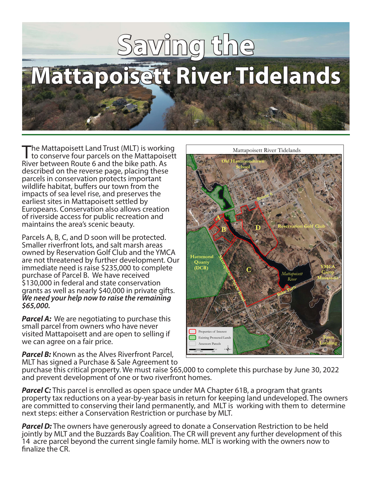# **Saving the Mattapoisett River Tidelands**

The Mattapoisett Land Trust (MLT) is working<br>to conserve four parcels on the Mattapoisett River between Route 6 and the bike path. As described on the reverse page, placing these parcels in conservation protects important wildlife habitat, buffers our town from the impacts of sea level rise, and preserves the earliest sites in Mattapoisett settled by Europeans. Conservation also allows creation of riverside access for public recreation and maintains the area's scenic beauty.

Parcels A, B, C, and D soon will be protected. Smaller riverfront lots, and salt marsh areas owned by Reservation Golf Club and the YMCA are not threatened by further development. Our immediate need is raise \$235,000 to complete purchase of Parcel B. We have received \$130,000 in federal and state conservation grants as well as nearly \$40,000 in private gifts. *We need your help now to raise the remaining \$65,000.*

*Parcel A:* We are negotiating to purchase this small parcel from owners who have never visited Mattapoisett and are open to selling if we can agree on a fair price.

**Parcel B:** Known as the Alves Riverfront Parcel, MLT has signed a Purchase & Sale Agreement to



purchase this critical property. We must raise \$65,000 to complete this purchase by June 30, 2022 and prevent development of one or two riverfront homes.

**Parcel C:** This parcel is enrolled as open space under MA Chapter 61B, a program that grants property tax reductions on a year-by-year basis in return for keeping land undeveloped. The owners are committed to conserving their land permanently, and MLT is working with them to determine next steps: either a Conservation Restriction or purchase by MLT.

**Parcel D:** The owners have generously agreed to donate a Conservation Restriction to be held jointly by MLT and the Buzzards Bay Coalition. The CR will prevent any further development of this 14 acre parcel beyond the current single family home. MLT is working with the owners now to finalize the CR.